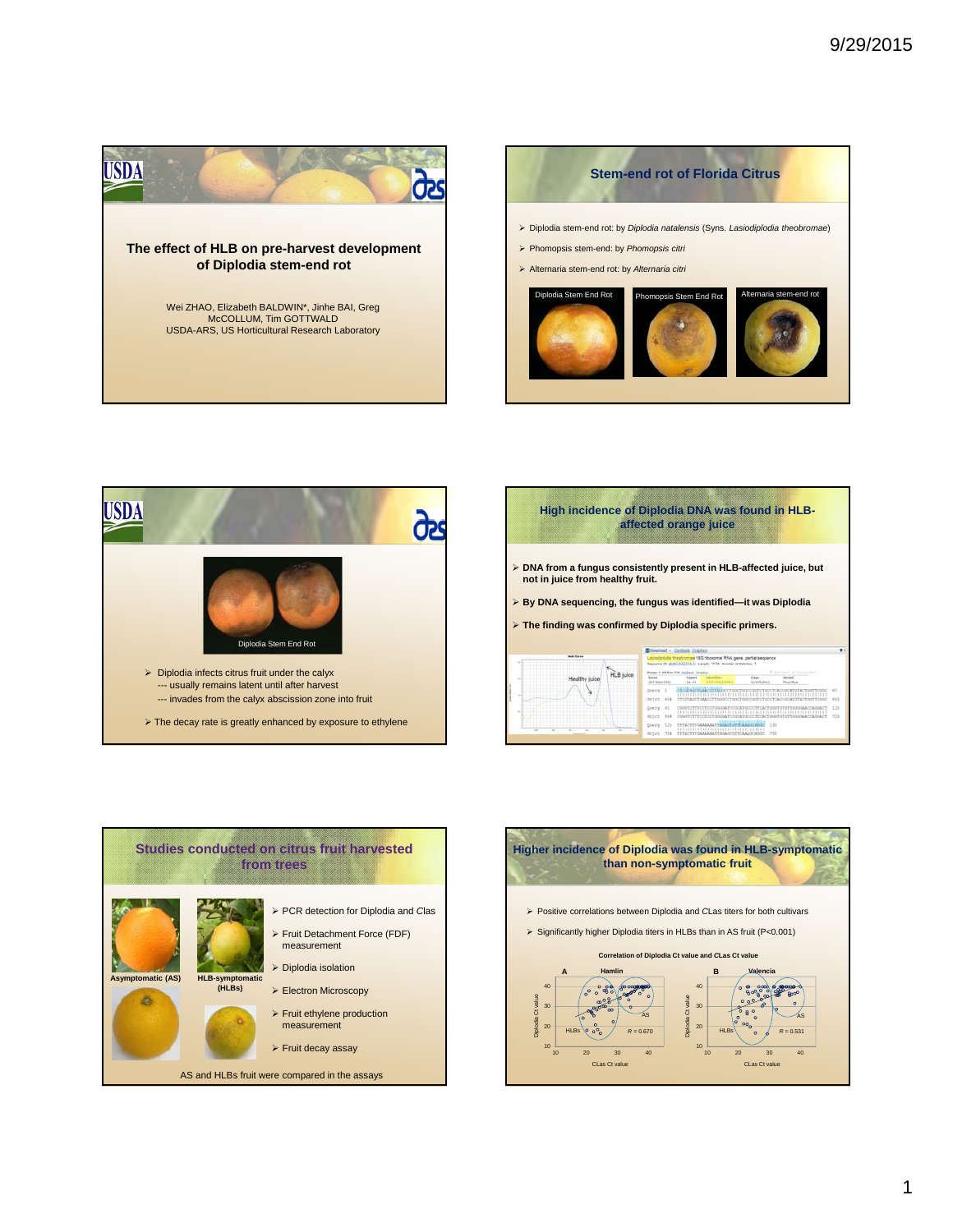







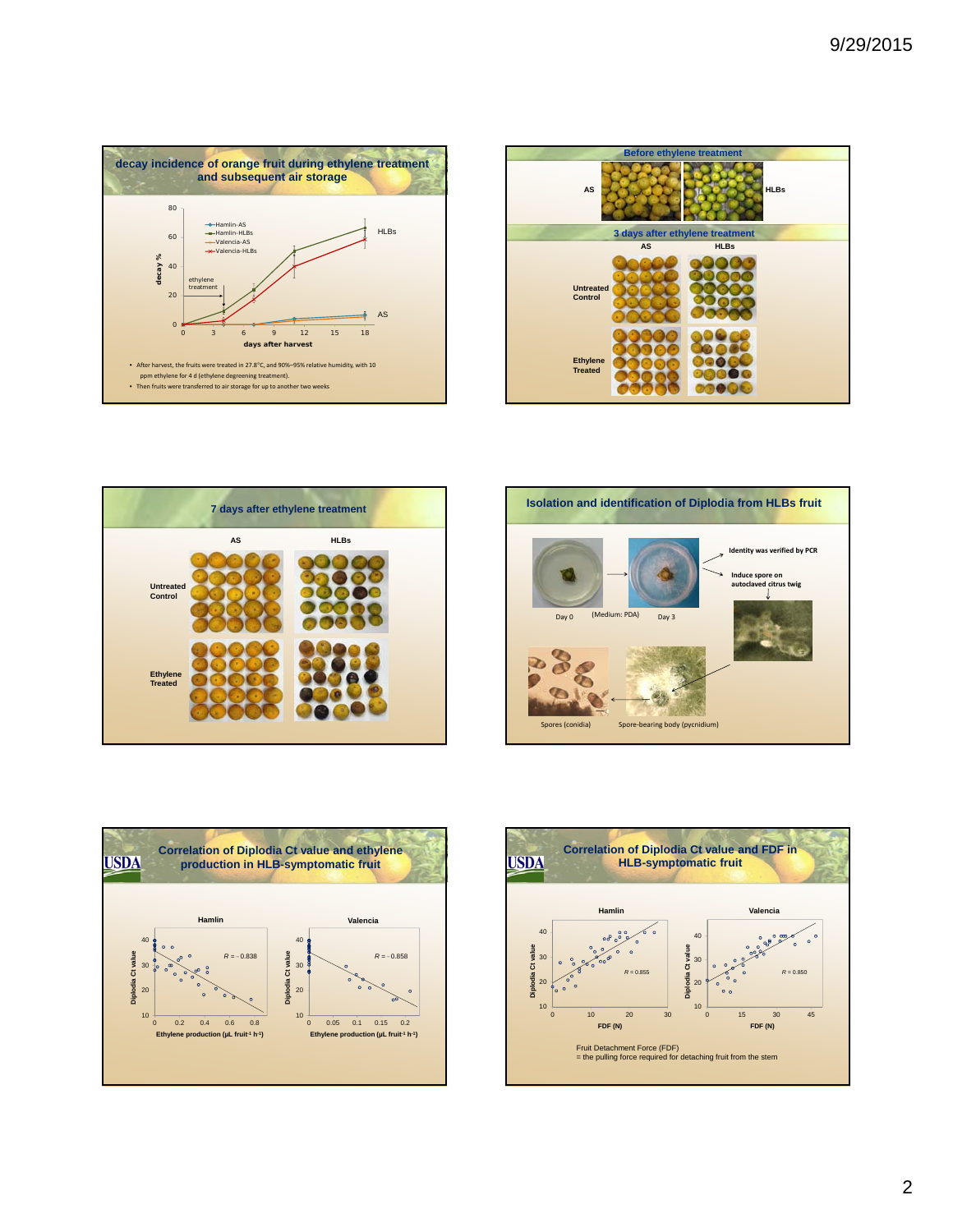









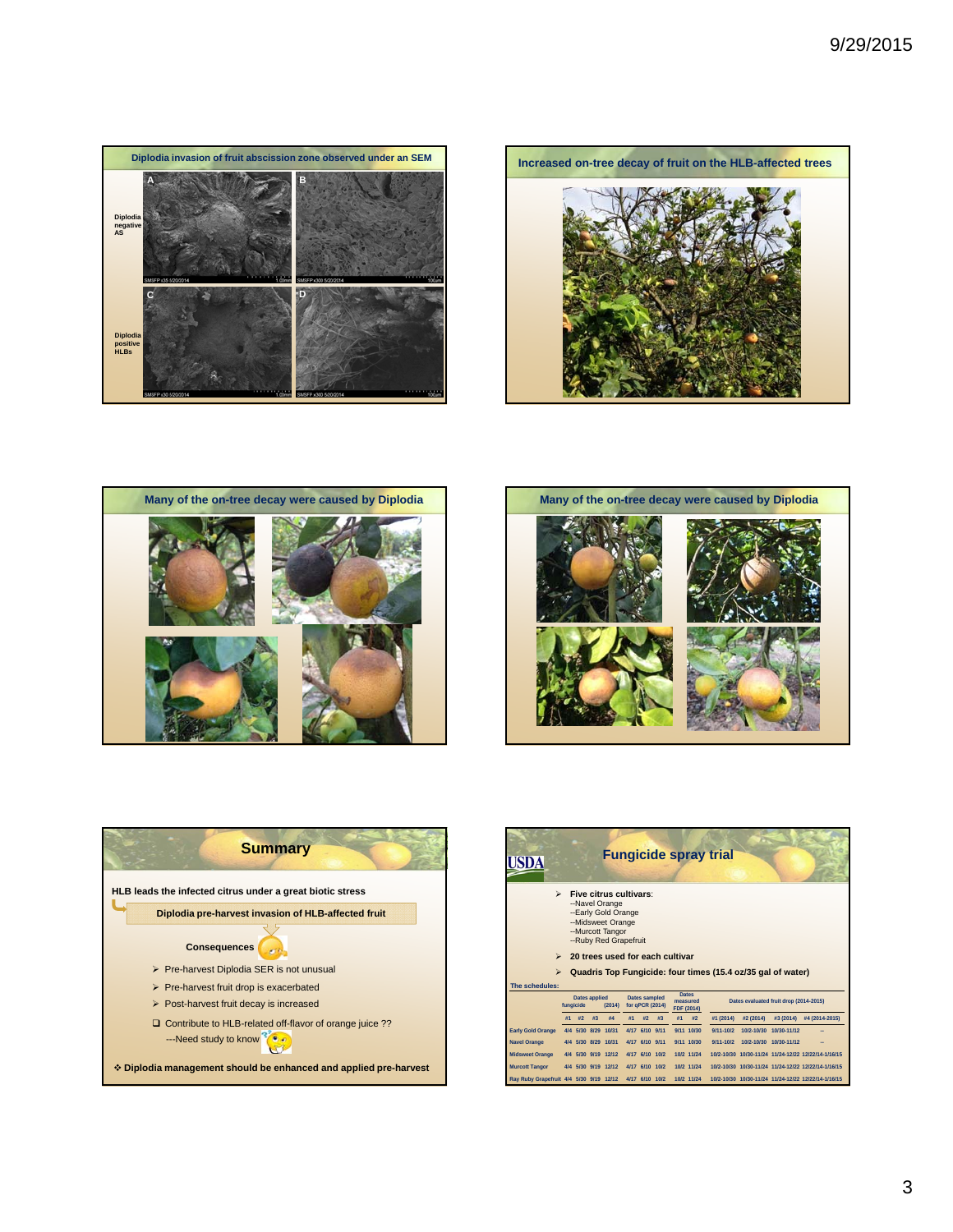